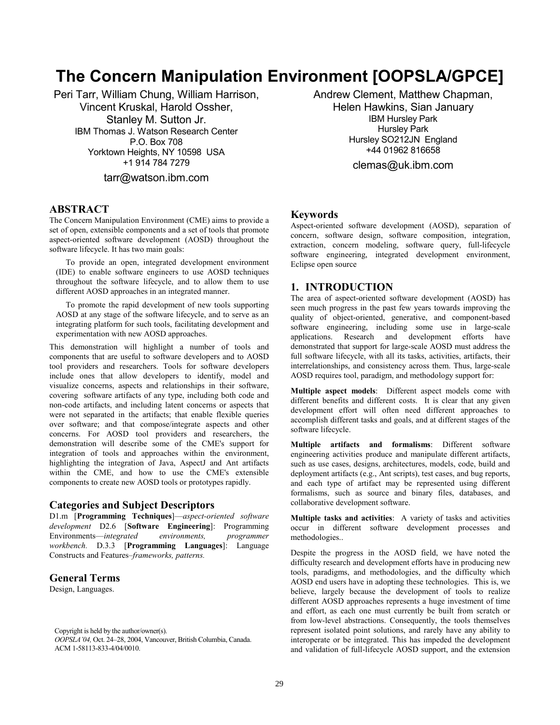# **The Concern Manipulation Environment [OOPSLA/GPCE]**

Peri Tarr, William Chung, William Harrison, Vincent Kruskal, Harold Ossher, Stanley M. Sutton Jr. IBM Thomas J. Watson Research Center P.O. Box 708 Yorktown Heights, NY 10598 USA +1 914 784 7279 tarr@watson.ibm.com

#### **ABSTRACT**

The Concern Manipulation Environment (CME) aims to provide a set of open, extensible components and a set of tools that promote aspect-oriented software development (AOSD) throughout the software lifecycle. It has two main goals:

 To provide an open, integrated development environment (IDE) to enable software engineers to use AOSD techniques throughout the software lifecycle, and to allow them to use different AOSD approaches in an integrated manner.

 To promote the rapid development of new tools supporting AOSD at any stage of the software lifecycle, and to serve as an integrating platform for such tools, facilitating development and experimentation with new AOSD approaches.

This demonstration will highlight a number of tools and components that are useful to software developers and to AOSD tool providers and researchers. Tools for software developers include ones that allow developers to identify, model and visualize concerns, aspects and relationships in their software, covering software artifacts of any type, including both code and non-code artifacts, and including latent concerns or aspects that were not separated in the artifacts; that enable flexible queries over software; and that compose/integrate aspects and other concerns. For AOSD tool providers and researchers, the demonstration will describe some of the CME's support for integration of tools and approaches within the environment, highlighting the integration of Java, AspectJ and Ant artifacts within the CME, and how to use the CME's extensible components to create new AOSD tools or prototypes rapidly.

#### **Categories and Subject Descriptors**

D1.m [**Programming Techniques**]—*aspect-oriented software development* D2.6 [**Software Engineering**]: Programming Environments—*integrated environments, programmer workbench.* D.3.3 [**Programming Languages**]: Language Constructs and Features–*frameworks, patterns.*

#### **General Terms**

Design, Languages.

*OOPSLA'04,* Oct. 24–28, 2004, Vancouver, British Columbia, Canada. ACM 1-58113-833-4/04/0010.

Andrew Clement, Matthew Chapman, Helen Hawkins, Sian January IBM Hursley Park Hursley Park Hursley SO212JN England +44 01962 816658

clemas@uk.ibm.com

#### **Keywords**

Aspect-oriented software development (AOSD), separation of concern, software design, software composition, integration, extraction, concern modeling, software query, full-lifecycle software engineering, integrated development environment, Eclipse open source

## **1. INTRODUCTION**

The area of aspect-oriented software development (AOSD) has seen much progress in the past few years towards improving the quality of object-oriented, generative, and component-based software engineering, including some use in large-scale applications. Research and development efforts have demonstrated that support for large-scale AOSD must address the full software lifecycle, with all its tasks, activities, artifacts, their interrelationships, and consistency across them. Thus, large-scale AOSD requires tool, paradigm, and methodology support for:

**Multiple aspect models**: Different aspect models come with different benefits and different costs. It is clear that any given development effort will often need different approaches to accomplish different tasks and goals, and at different stages of the software lifecycle.

**Multiple artifacts and formalisms**: Different software engineering activities produce and manipulate different artifacts, such as use cases, designs, architectures, models, code, build and deployment artifacts (e.g., Ant scripts), test cases, and bug reports, and each type of artifact may be represented using different formalisms, such as source and binary files, databases, and collaborative development software.

**Multiple tasks and activities**: A variety of tasks and activities occur in different software development processes and methodologies..

Despite the progress in the AOSD field, we have noted the difficulty research and development efforts have in producing new tools, paradigms, and methodologies, and the difficulty which AOSD end users have in adopting these technologies. This is, we believe, largely because the development of tools to realize different AOSD approaches represents a huge investment of time and effort, as each one must currently be built from scratch or from low-level abstractions. Consequently, the tools themselves represent isolated point solutions, and rarely have any ability to interoperate or be integrated. This has impeded the development and validation of full-lifecycle AOSD support, and the extension

Copyright is held by the author/owner(s).